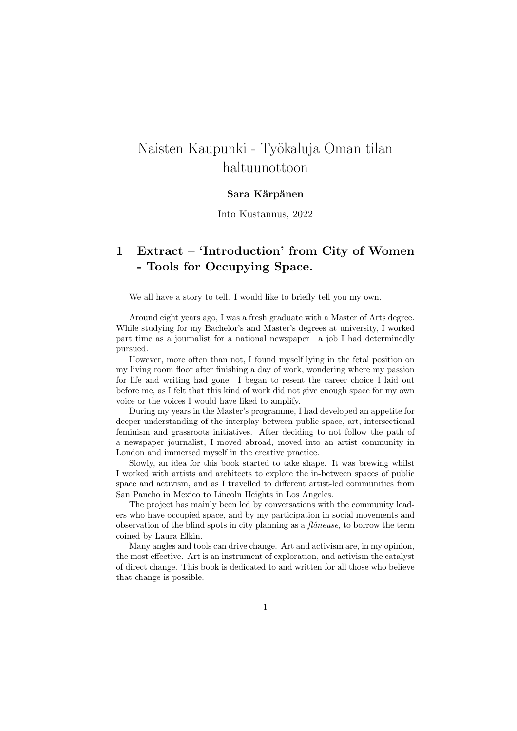## Naisten Kaupunki - Työkaluja Oman tilan haltuunottoon

## Sara Kärpänen

Into Kustannus, 2022

## 1 Extract – 'Introduction' from City of Women - Tools for Occupying Space.

We all have a story to tell. I would like to briefly tell you my own.

Around eight years ago, I was a fresh graduate with a Master of Arts degree. While studying for my Bachelor's and Master's degrees at university, I worked part time as a journalist for a national newspaper—a job I had determinedly pursued.

However, more often than not, I found myself lying in the fetal position on my living room floor after finishing a day of work, wondering where my passion for life and writing had gone. I began to resent the career choice I laid out before me, as I felt that this kind of work did not give enough space for my own voice or the voices I would have liked to amplify.

During my years in the Master's programme, I had developed an appetite for deeper understanding of the interplay between public space, art, intersectional feminism and grassroots initiatives. After deciding to not follow the path of a newspaper journalist, I moved abroad, moved into an artist community in London and immersed myself in the creative practice.

Slowly, an idea for this book started to take shape. It was brewing whilst I worked with artists and architects to explore the in-between spaces of public space and activism, and as I travelled to different artist-led communities from San Pancho in Mexico to Lincoln Heights in Los Angeles.

The project has mainly been led by conversations with the community leaders who have occupied space, and by my participation in social movements and observation of the blind spots in city planning as a  $f\hat{a}$ neuse, to borrow the term coined by Laura Elkin.

Many angles and tools can drive change. Art and activism are, in my opinion, the most effective. Art is an instrument of exploration, and activism the catalyst of direct change. This book is dedicated to and written for all those who believe that change is possible.